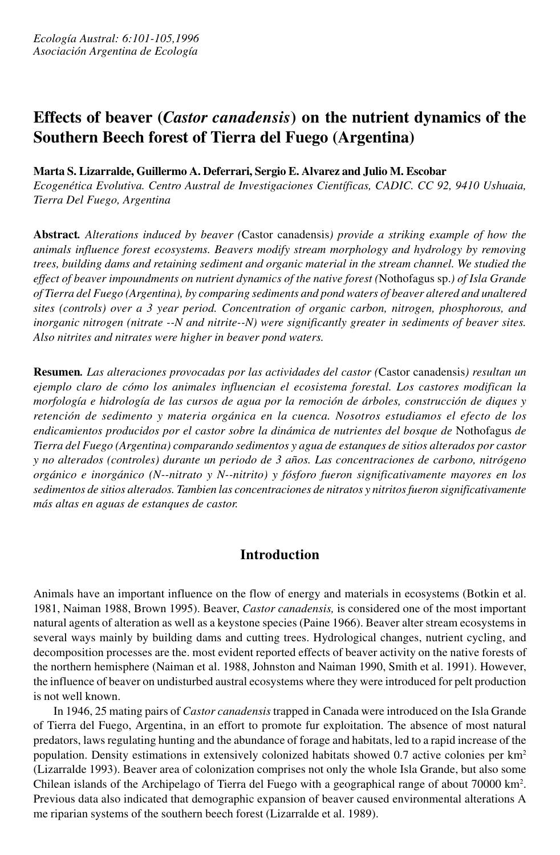# **Effects of beaver (***Castor canadensis***) on the nutrient dynamics of the Southern Beech forest of Tierra del Fuego (Argentina)**

### **Marta S. Lizarralde, Guillermo A. Deferrari, Sergio E. Alvarez and Julio M. Escobar**

*Ecogenética Evolutiva. Centro Austral de Investigaciones Científicas, CADIC. CC 92, 9410 Ushuaia, Tierra Del Fuego, Argentina*

**Abstract***. Alterations induced by beaver (*Castor canadensis*) provide a striking example of how the animals influence forest ecosystems. Beavers modify stream morphology and hydrology by removing trees, building dams and retaining sediment and organic material in the stream channel. We studied the effect of beaver impoundments on nutrient dynamics of the native forest (*Nothofagus sp.*) of Isla Grande of Tierra del Fuego (Argentina), by comparing sediments and pond waters of beaver altered and unaltered sites (controls) over a 3 year period. Concentration of organic carbon, nitrogen, phosphorous, and inorganic nitrogen (nitrate --N and nitrite--N) were significantly greater in sediments of beaver sites. Also nitrites and nitrates were higher in beaver pond waters.*

**Resumen***. Las alteraciones provocadas por las actividades del castor (*Castor canadensis*) resultan un ejemplo claro de cómo los animales influencian el ecosistema forestal. Los castores modifican la morfología e hidrología de las cursos de agua por la remoción de árboles, construcción de diques y retención de sedimento y materia orgánica en la cuenca. Nosotros estudiamos el efecto de los endicamientos producidos por el castor sobre la dinámica de nutrientes del bosque de* Nothofagus *de Tierra del Fuego (Argentina) comparando sedimentos y agua de estanques de sitios alterados por castor y no alterados (controles) durante un periodo de 3 años. Las concentraciones de carbono, nitrógeno orgánico e inorgánico (N--nitrato y N--nitrito) y fósforo fueron significativamente mayores en los sedimentos de sitios alterados. Tambien las concentraciones de nitratos y nitritos fueron significativamente más altas en aguas de estanques de castor.*

## **Introduction**

Animals have an important influence on the flow of energy and materials in ecosystems (Botkin et al. 1981, Naiman 1988, Brown 1995). Beaver, *Castor canadensis,* is considered one of the most important natural agents of alteration as well as a keystone species (Paine 1966). Beaver alter stream ecosystems in several ways mainly by building dams and cutting trees. Hydrological changes, nutrient cycling, and decomposition processes are the. most evident reported effects of beaver activity on the native forests of the northern hemisphere (Naiman et al. 1988, Johnston and Naiman 1990, Smith et al. 1991). However, the influence of beaver on undisturbed austral ecosystems where they were introduced for pelt production is not well known.

In 1946, 25 mating pairs of *Castor canadensis* trapped in Canada were introduced on the Isla Grande of Tierra del Fuego, Argentina, in an effort to promote fur exploitation. The absence of most natural predators, laws regulating hunting and the abundance of forage and habitats, led to a rapid increase of the population. Density estimations in extensively colonized habitats showed 0.7 active colonies per km<sup>2</sup> (Lizarralde 1993). Beaver area of colonization comprises not only the whole Isla Grande, but also some Chilean islands of the Archipelago of Tierra del Fuego with a geographical range of about 70000 km<sup>2</sup> . Previous data also indicated that demographic expansion of beaver caused environmental alterations A me riparian systems of the southern beech forest (Lizarralde et al. 1989).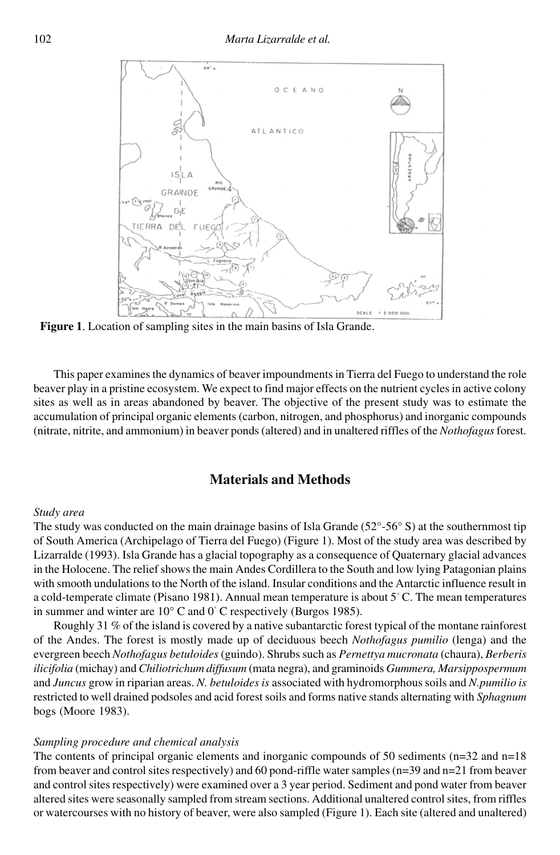

**Figure 1**. Location of sampling sites in the main basins of Isla Grande.

This paper examines the dynamics of beaver impoundments in Tierra del Fuego to understand the role beaver play in a pristine ecosystem. We expect to find major effects on the nutrient cycles in active colony sites as well as in areas abandoned by beaver. The objective of the present study was to estimate the accumulation of principal organic elements (carbon, nitrogen, and phosphorus) and inorganic compounds (nitrate, nitrite, and ammonium) in beaver ponds (altered) and in unaltered riffles of the *Nothofagus*forest.

## **Materials and Methods**

#### *Study area*

The study was conducted on the main drainage basins of Isla Grande  $(52^{\circ} - 56^{\circ} S)$  at the southernmost tip of South America (Archipelago of Tierra del Fuego) (Figure 1). Most of the study area was described by Lizarralde (1993). Isla Grande has a glacial topography as a consequence of Quaternary glacial advances in the Holocene. The relief shows the main Andes Cordillera to the South and low lying Patagonian plains with smooth undulations to the North of the island. Insular conditions and the Antarctic influence result in a cold-temperate climate (Pisano 1981). Annual mean temperature is about 5° C. The mean temperatures in summer and winter are 10° C and 0° C respectively (Burgos 1985).

Roughly 31 % of the island is covered by a native subantarctic forest typical of the montane rainforest of the Andes. The forest is mostly made up of deciduous beech *Nothofagus pumilio* (lenga) and the evergreen beech *Nothofagus betuloides* (guindo). Shrubs such as *Pernettya mucronata* (chaura), *Berberis ilicifolia* (michay) and *Chiliotrichum diffusum* (mata negra), and graminoids *Gummera, Marsippospermum* and *Juncus* grow in riparian areas. *N. betuloides is* associated with hydromorphous soils and *N.pumilio is* restricted to well drained podsoles and acid forest soils and forms native stands alternating with *Sphagnum* bogs (Moore 1983).

#### *Sampling procedure and chemical analysis*

The contents of principal organic elements and inorganic compounds of 50 sediments ( $n=32$  and  $n=18$ ) from beaver and control sites respectively) and 60 pond-riffle water samples (n=39 and n=21 from beaver and control sites respectively) were examined over a 3 year period. Sediment and pond water from beaver altered sites were seasonally sampled from stream sections. Additional unaltered control sites, from riffles or watercourses with no history of beaver, were also sampled (Figure 1). Each site (altered and unaltered)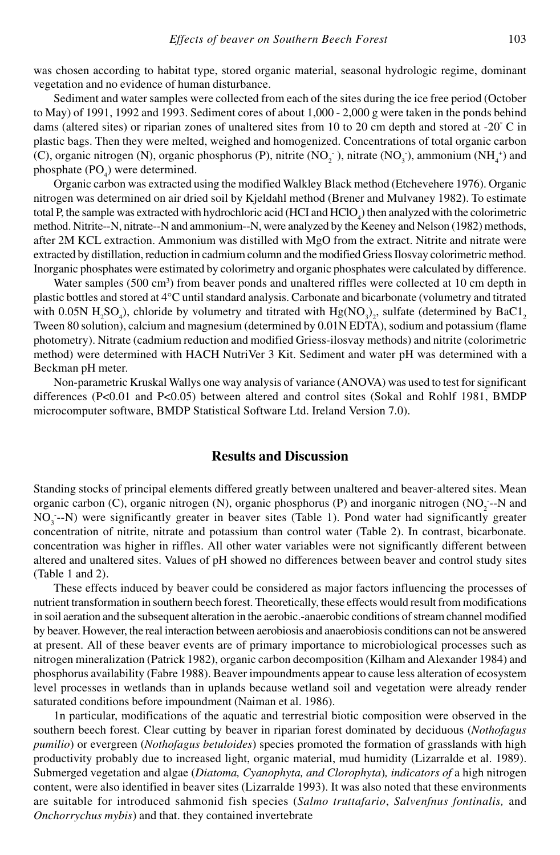was chosen according to habitat type, stored organic material, seasonal hydrologic regime, dominant vegetation and no evidence of human disturbance.

Sediment and water samples were collected from each of the sites during the ice free period (October to May) of 1991, 1992 and 1993. Sediment cores of about 1,000 - 2,000 g were taken in the ponds behind dams (altered sites) or riparian zones of unaltered sites from 10 to 20 cm depth and stored at -20 $\degree$  C in plastic bags. Then they were melted, weighed and homogenized. Concentrations of total organic carbon (C), organic nitrogen (N), organic phosphorus (P), nitrite (NO<sub>2</sub>), nitrate (NO<sub>3</sub>), ammonium (NH<sub>4</sub><sup>+</sup>) and phosphate  $(PO_4)$  were determined.

Organic carbon was extracted using the modified Walkley Black method (Etchevehere 1976). Organic nitrogen was determined on air dried soil by Kjeldahl method (Brener and Mulvaney 1982). To estimate total P, the sample was extracted with hydrochloric acid (HCI and  $HClO<sub>4</sub>$ ) then analyzed with the colorimetric method. Nitrite--N, nitrate--N and ammonium--N, were analyzed by the Keeney and Nelson (1982) methods, after 2M KCL extraction. Ammonium was distilled with MgO from the extract. Nitrite and nitrate were extracted by distillation, reduction in cadmium column and the modified Griess Ilosvay colorimetric method. Inorganic phosphates were estimated by colorimetry and organic phosphates were calculated by difference.

Water samples (500 cm<sup>3</sup>) from beaver ponds and unaltered riffles were collected at 10 cm depth in plastic bottles and stored at 4°C until standard analysis. Carbonate and bicarbonate (volumetry and titrated with 0.05N H<sub>2</sub>SO<sub>4</sub>), chloride by volumetry and titrated with Hg(NO<sub>3</sub>)<sub>2</sub>, sulfate (determined by BaC1<sub>2</sub> Tween 80 solution), calcium and magnesium (determined by 0.01N EDTA), sodium and potassium (flame photometry). Nitrate (cadmium reduction and modified Griess-ilosvay methods) and nitrite (colorimetric method) were determined with HACH NutriVer 3 Kit. Sediment and water pH was determined with a Beckman pH meter.

Non-parametric Kruskal Wallys one way analysis of variance (ANOVA) was used to test for significant differences (P<0.01 and P<0.05) between altered and control sites (Sokal and Rohlf 1981, BMDP microcomputer software, BMDP Statistical Software Ltd. Ireland Version 7.0).

#### **Results and Discussion**

Standing stocks of principal elements differed greatly between unaltered and beaver-altered sites. Mean organic carbon (C), organic nitrogen (N), organic phosphorus (P) and inorganic nitrogen (NO<sub>2</sub>--N and NO<sub>3</sub>--N) were significantly greater in beaver sites (Table 1). Pond water had significantly greater concentration of nitrite, nitrate and potassium than control water (Table 2). In contrast, bicarbonate. concentration was higher in riffles. All other water variables were not significantly different between altered and unaltered sites. Values of pH showed no differences between beaver and control study sites (Table 1 and 2).

These effects induced by beaver could be considered as major factors influencing the processes of nutrient transformation in southern beech forest. Theoretically, these effects would result from modifications in soil aeration and the subsequent alteration in the aerobic.-anaerobic conditions of stream channel modified by beaver. However, the real interaction between aerobiosis and anaerobiosis conditions can not be answered at present. All of these beaver events are of primary importance to microbiological processes such as nitrogen mineralization (Patrick 1982), organic carbon decomposition (Kilham and Alexander 1984) and phosphorus availability (Fabre 1988). Beaver impoundments appear to cause less alteration of ecosystem level processes in wetlands than in uplands because wetland soil and vegetation were already render saturated conditions before impoundment (Naiman et al. 1986).

1n particular, modifications of the aquatic and terrestrial biotic composition were observed in the southern beech forest. Clear cutting by beaver in riparian forest dominated by deciduous (*Nothofagus pumilio*) or evergreen (*Nothofagus betuloides*) species promoted the formation of grasslands with high productivity probably due to increased light, organic material, mud humidity (Lizarralde et al. 1989). Submerged vegetation and algae (*Diatoma, Cyanophyta, and Clorophyta*)*, indicators of* a high nitrogen content, were also identified in beaver sites (Lizarralde 1993). It was also noted that these environments are suitable for introduced sahmonid fish species (*Salmo truttafario*, *Salvenfnus fontinalis,* and *Onchorrychus mybis*) and that. they contained invertebrate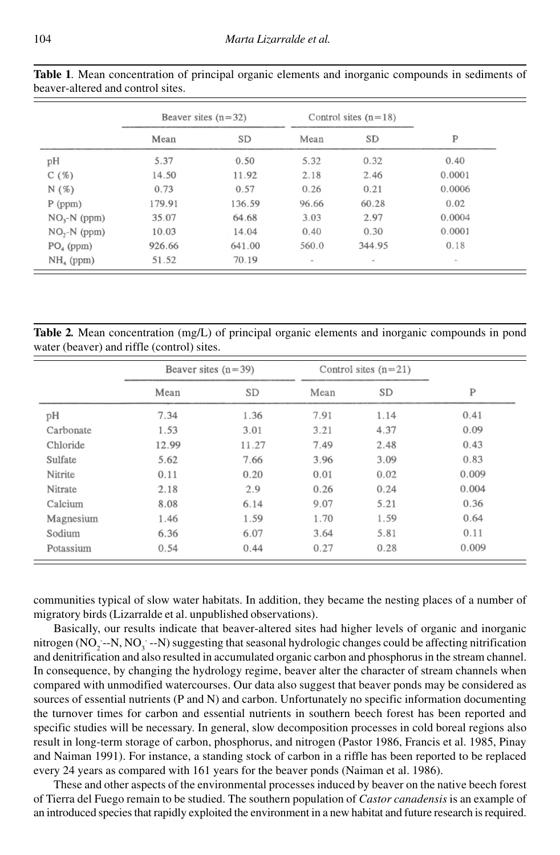|               | Beaver sites $(n=32)$ |           | Control sites $(n=18)$   |               |              |
|---------------|-----------------------|-----------|--------------------------|---------------|--------------|
|               | Mean                  | <b>SD</b> | Mean                     | <b>SD</b>     | $\mathbf{P}$ |
| pH            | 5.37                  | 0.50      | 5.32                     | 0.32          | 0.40         |
| C(%)          | 14.50                 | 11.92     | 2.18                     | 2.46          | 0.0001       |
| N(%)          | 0.73                  | 0.57      | 0.26                     | 0.21          | 0.0006       |
| $P$ (ppm)     | 179.91                | 136.59    | 96.66                    | 60.28         | 0.02         |
| $NO3-N$ (ppm) | 35.07                 | 64.68     | 3.03                     | 2.97          | 0.0004       |
| $NO2-N$ (ppm) | 10.03                 | 14.04     | 0.40                     | 0.30          | 0.0001       |
| $PO4$ (ppm)   | 926.66                | 641.00    | 560.0                    | 344.95        | 0.18         |
| $NH4$ (ppm)   | 51.52                 | 70.19     | $\overline{\phantom{a}}$ | $\frac{1}{2}$ | $\sim$       |

**Table 1***.* Mean concentration of principal organic elements and inorganic compounds in sediments of beaver-altered and control sites.

**Table 2***.* Mean concentration (mg/L) of principal organic elements and inorganic compounds in pond water (beaver) and riffle (control) sites.

|           | Beaver sites $(n=39)$ |           | Control sites $(n=21)$ |           |       |
|-----------|-----------------------|-----------|------------------------|-----------|-------|
|           | Mean                  | <b>SD</b> | Mean                   | <b>SD</b> | P     |
| pH        | 7.34                  | 1.36      | 7.91                   | 1.14      | 0.41  |
| Carbonate | 1.53                  | 3.01      | 3.21                   | 4.37      | 0.09  |
| Chloride  | 12.99                 | 11.27     | 7.49                   | 2.48      | 0.43  |
| Sulfate   | 5.62                  | 7.66      | 3.96                   | 3.09      | 0.83  |
| Nitrite   | 0.11                  | 0.20      | 0.01                   | 0.02      | 0.009 |
| Nitrate   | 2.18                  | 2.9       | 0.26                   | 0.24      | 0.004 |
| Calcium   | 8.08                  | 6.14      | 9.07                   | 5.21      | 0.36  |
| Magnesium | 1.46                  | 1.59      | 1.70                   | 1.59      | 0.64  |
| Sodium    | 6.36                  | 6.07      | 3.64                   | 5.81      | 0.11  |
| Potassium | 0.54                  | 0.44      | 0.27                   | 0.28      | 0.009 |

communities typical of slow water habitats. In addition, they became the nesting places of a number of migratory birds (Lizarralde et al. unpublished observations).

Basically, our results indicate that beaver-altered sites had higher levels of organic and inorganic nitrogen (NO<sub>2</sub>--N, NO<sub>3</sub>--N) suggesting that seasonal hydrologic changes could be affecting nitrification and denitrification and also resulted in accumulated organic carbon and phosphorus in the stream channel. In consequence, by changing the hydrology regime, beaver alter the character of stream channels when compared with unmodified watercourses. Our data also suggest that beaver ponds may be considered as sources of essential nutrients (P and N) and carbon. Unfortunately no specific information documenting the turnover times for carbon and essential nutrients in southern beech forest has been reported and specific studies will be necessary. In general, slow decomposition processes in cold boreal regions also result in long-term storage of carbon, phosphorus, and nitrogen (Pastor 1986, Francis et al. 1985, Pinay and Naiman 1991). For instance, a standing stock of carbon in a riffle has been reported to be replaced every 24 years as compared with 161 years for the beaver ponds (Naiman et al. 1986).

These and other aspects of the environmental processes induced by beaver on the native beech forest of Tierra del Fuego remain to be studied. The southern population of *Castor canadensis* is an example of an introduced species that rapidly exploited the environment in a new habitat and future research is required.